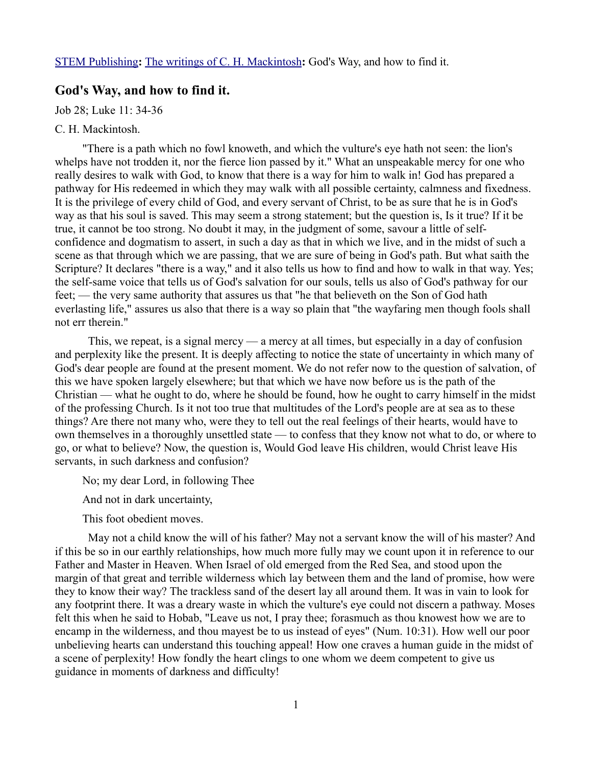## **God's Way, and how to find it.**

Job 28; Luke 11: 34-36

## C. H. Mackintosh.

"There is a path which no fowl knoweth, and which the vulture's eye hath not seen: the lion's whelps have not trodden it, nor the fierce lion passed by it." What an unspeakable mercy for one who really desires to walk with God, to know that there is a way for him to walk in! God has prepared a pathway for His redeemed in which they may walk with all possible certainty, calmness and fixedness. It is the privilege of every child of God, and every servant of Christ, to be as sure that he is in God's way as that his soul is saved. This may seem a strong statement; but the question is, Is it true? If it be true, it cannot be too strong. No doubt it may, in the judgment of some, savour a little of selfconfidence and dogmatism to assert, in such a day as that in which we live, and in the midst of such a scene as that through which we are passing, that we are sure of being in God's path. But what saith the Scripture? It declares "there is a way," and it also tells us how to find and how to walk in that way. Yes; the self-same voice that tells us of God's salvation for our souls, tells us also of God's pathway for our feet; — the very same authority that assures us that "he that believeth on the Son of God hath everlasting life," assures us also that there is a way so plain that "the wayfaring men though fools shall not err therein."

This, we repeat, is a signal mercy — a mercy at all times, but especially in a day of confusion and perplexity like the present. It is deeply affecting to notice the state of uncertainty in which many of God's dear people are found at the present moment. We do not refer now to the question of salvation, of this we have spoken largely elsewhere; but that which we have now before us is the path of the Christian — what he ought to do, where he should be found, how he ought to carry himself in the midst of the professing Church. Is it not too true that multitudes of the Lord's people are at sea as to these things? Are there not many who, were they to tell out the real feelings of their hearts, would have to own themselves in a thoroughly unsettled state — to confess that they know not what to do, or where to go, or what to believe? Now, the question is, Would God leave His children, would Christ leave His servants, in such darkness and confusion?

No; my dear Lord, in following Thee

And not in dark uncertainty,

This foot obedient moves.

May not a child know the will of his father? May not a servant know the will of his master? And if this be so in our earthly relationships, how much more fully may we count upon it in reference to our Father and Master in Heaven. When Israel of old emerged from the Red Sea, and stood upon the margin of that great and terrible wilderness which lay between them and the land of promise, how were they to know their way? The trackless sand of the desert lay all around them. It was in vain to look for any footprint there. It was a dreary waste in which the vulture's eye could not discern a pathway. Moses felt this when he said to Hobab, "Leave us not, I pray thee; forasmuch as thou knowest how we are to encamp in the wilderness, and thou mayest be to us instead of eyes" (Num. 10:31). How well our poor unbelieving hearts can understand this touching appeal! How one craves a human guide in the midst of a scene of perplexity! How fondly the heart clings to one whom we deem competent to give us guidance in moments of darkness and difficulty!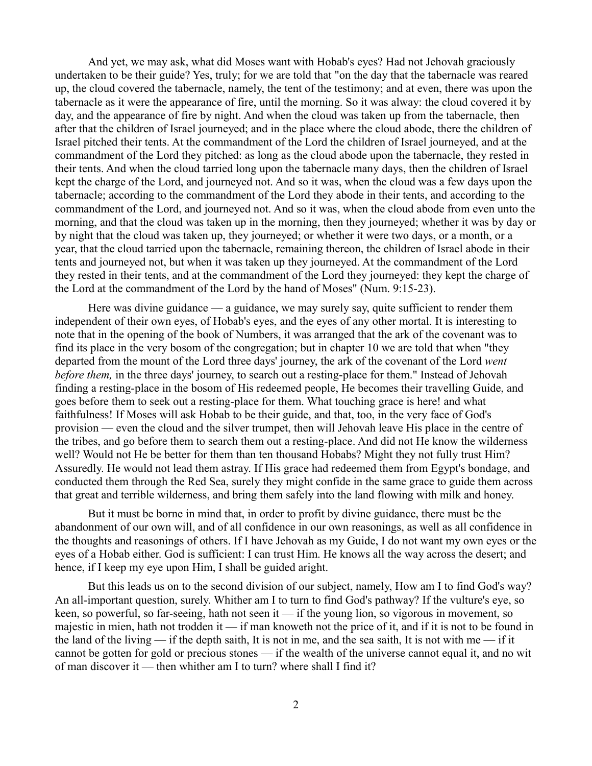And yet, we may ask, what did Moses want with Hobab's eyes? Had not Jehovah graciously undertaken to be their guide? Yes, truly; for we are told that "on the day that the tabernacle was reared up, the cloud covered the tabernacle, namely, the tent of the testimony; and at even, there was upon the tabernacle as it were the appearance of fire, until the morning. So it was alway: the cloud covered it by day, and the appearance of fire by night. And when the cloud was taken up from the tabernacle, then after that the children of Israel journeyed; and in the place where the cloud abode, there the children of Israel pitched their tents. At the commandment of the Lord the children of Israel journeyed, and at the commandment of the Lord they pitched: as long as the cloud abode upon the tabernacle, they rested in their tents. And when the cloud tarried long upon the tabernacle many days, then the children of Israel kept the charge of the Lord, and journeyed not. And so it was, when the cloud was a few days upon the tabernacle; according to the commandment of the Lord they abode in their tents, and according to the commandment of the Lord, and journeyed not. And so it was, when the cloud abode from even unto the morning, and that the cloud was taken up in the morning, then they journeyed; whether it was by day or by night that the cloud was taken up, they journeyed; or whether it were two days, or a month, or a year, that the cloud tarried upon the tabernacle, remaining thereon, the children of Israel abode in their tents and journeyed not, but when it was taken up they journeyed. At the commandment of the Lord they rested in their tents, and at the commandment of the Lord they journeyed: they kept the charge of the Lord at the commandment of the Lord by the hand of Moses" (Num. 9:15-23).

Here was divine guidance — a guidance, we may surely say, quite sufficient to render them independent of their own eyes, of Hobab's eyes, and the eyes of any other mortal. It is interesting to note that in the opening of the book of Numbers, it was arranged that the ark of the covenant was to find its place in the very bosom of the congregation; but in chapter 10 we are told that when "they departed from the mount of the Lord three days' journey, the ark of the covenant of the Lord *went before them,* in the three days' journey, to search out a resting-place for them." Instead of Jehovah finding a resting-place in the bosom of His redeemed people, He becomes their travelling Guide, and goes before them to seek out a resting-place for them. What touching grace is here! and what faithfulness! If Moses will ask Hobab to be their guide, and that, too, in the very face of God's provision — even the cloud and the silver trumpet, then will Jehovah leave His place in the centre of the tribes, and go before them to search them out a resting-place. And did not He know the wilderness well? Would not He be better for them than ten thousand Hobabs? Might they not fully trust Him? Assuredly. He would not lead them astray. If His grace had redeemed them from Egypt's bondage, and conducted them through the Red Sea, surely they might confide in the same grace to guide them across that great and terrible wilderness, and bring them safely into the land flowing with milk and honey.

But it must be borne in mind that, in order to profit by divine guidance, there must be the abandonment of our own will, and of all confidence in our own reasonings, as well as all confidence in the thoughts and reasonings of others. If I have Jehovah as my Guide, I do not want my own eyes or the eyes of a Hobab either. God is sufficient: I can trust Him. He knows all the way across the desert; and hence, if I keep my eye upon Him, I shall be guided aright.

But this leads us on to the second division of our subject, namely, How am I to find God's way? An all-important question, surely. Whither am I to turn to find God's pathway? If the vulture's eye, so keen, so powerful, so far-seeing, hath not seen it — if the young lion, so vigorous in movement, so majestic in mien, hath not trodden it — if man knoweth not the price of it, and if it is not to be found in the land of the living — if the depth saith, It is not in me, and the sea saith, It is not with me — if it cannot be gotten for gold or precious stones — if the wealth of the universe cannot equal it, and no wit of man discover it — then whither am I to turn? where shall I find it?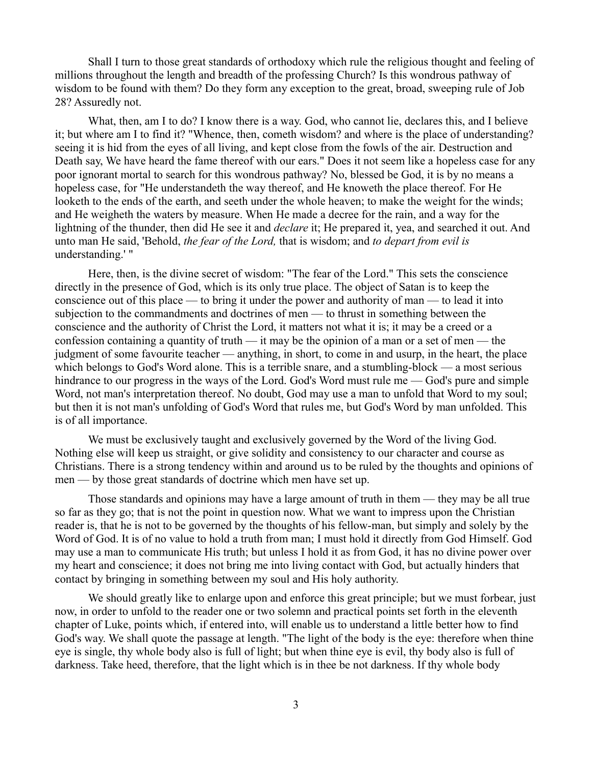Shall I turn to those great standards of orthodoxy which rule the religious thought and feeling of millions throughout the length and breadth of the professing Church? Is this wondrous pathway of wisdom to be found with them? Do they form any exception to the great, broad, sweeping rule of Job 28? Assuredly not.

What, then, am I to do? I know there is a way. God, who cannot lie, declares this, and I believe it; but where am I to find it? "Whence, then, cometh wisdom? and where is the place of understanding? seeing it is hid from the eyes of all living, and kept close from the fowls of the air. Destruction and Death say, We have heard the fame thereof with our ears." Does it not seem like a hopeless case for any poor ignorant mortal to search for this wondrous pathway? No, blessed be God, it is by no means a hopeless case, for "He understandeth the way thereof, and He knoweth the place thereof. For He looketh to the ends of the earth, and seeth under the whole heaven; to make the weight for the winds; and He weigheth the waters by measure. When He made a decree for the rain, and a way for the lightning of the thunder, then did He see it and *declare* it; He prepared it, yea, and searched it out. And unto man He said, 'Behold, *the fear of the Lord,* that is wisdom; and *to depart from evil is* understanding.' "

Here, then, is the divine secret of wisdom: "The fear of the Lord." This sets the conscience directly in the presence of God, which is its only true place. The object of Satan is to keep the conscience out of this place — to bring it under the power and authority of man — to lead it into subjection to the commandments and doctrines of men — to thrust in something between the conscience and the authority of Christ the Lord, it matters not what it is; it may be a creed or a confession containing a quantity of truth — it may be the opinion of a man or a set of men — the judgment of some favourite teacher — anything, in short, to come in and usurp, in the heart, the place which belongs to God's Word alone. This is a terrible snare, and a stumbling-block — a most serious hindrance to our progress in the ways of the Lord. God's Word must rule me — God's pure and simple Word, not man's interpretation thereof. No doubt, God may use a man to unfold that Word to my soul; but then it is not man's unfolding of God's Word that rules me, but God's Word by man unfolded. This is of all importance.

We must be exclusively taught and exclusively governed by the Word of the living God. Nothing else will keep us straight, or give solidity and consistency to our character and course as Christians. There is a strong tendency within and around us to be ruled by the thoughts and opinions of men — by those great standards of doctrine which men have set up.

Those standards and opinions may have a large amount of truth in them — they may be all true so far as they go; that is not the point in question now. What we want to impress upon the Christian reader is, that he is not to be governed by the thoughts of his fellow-man, but simply and solely by the Word of God. It is of no value to hold a truth from man; I must hold it directly from God Himself. God may use a man to communicate His truth; but unless I hold it as from God, it has no divine power over my heart and conscience; it does not bring me into living contact with God, but actually hinders that contact by bringing in something between my soul and His holy authority.

We should greatly like to enlarge upon and enforce this great principle; but we must forbear, just now, in order to unfold to the reader one or two solemn and practical points set forth in the eleventh chapter of Luke, points which, if entered into, will enable us to understand a little better how to find God's way. We shall quote the passage at length. "The light of the body is the eye: therefore when thine eye is single, thy whole body also is full of light; but when thine eye is evil, thy body also is full of darkness. Take heed, therefore, that the light which is in thee be not darkness. If thy whole body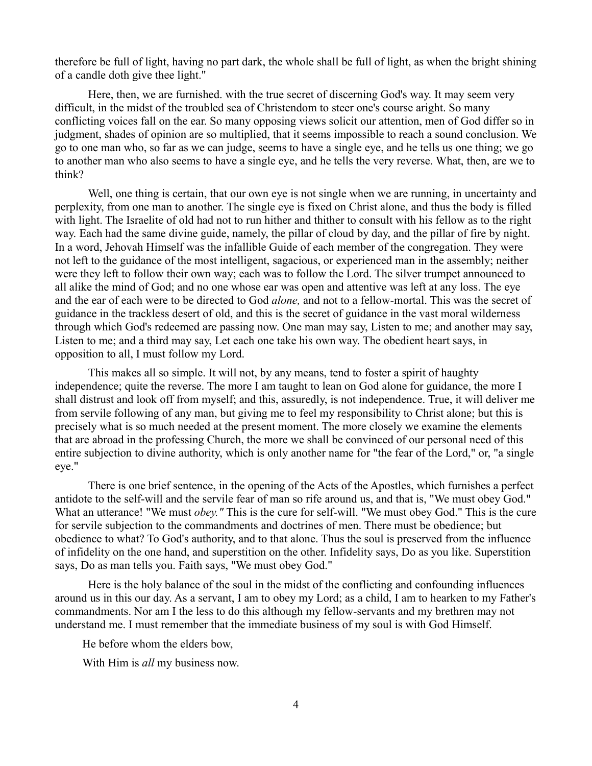therefore be full of light, having no part dark, the whole shall be full of light, as when the bright shining of a candle doth give thee light."

Here, then, we are furnished. with the true secret of discerning God's way. It may seem very difficult, in the midst of the troubled sea of Christendom to steer one's course aright. So many conflicting voices fall on the ear. So many opposing views solicit our attention, men of God differ so in judgment, shades of opinion are so multiplied, that it seems impossible to reach a sound conclusion. We go to one man who, so far as we can judge, seems to have a single eye, and he tells us one thing; we go to another man who also seems to have a single eye, and he tells the very reverse. What, then, are we to think?

Well, one thing is certain, that our own eye is not single when we are running, in uncertainty and perplexity, from one man to another. The single eye is fixed on Christ alone, and thus the body is filled with light. The Israelite of old had not to run hither and thither to consult with his fellow as to the right way. Each had the same divine guide, namely, the pillar of cloud by day, and the pillar of fire by night. In a word, Jehovah Himself was the infallible Guide of each member of the congregation. They were not left to the guidance of the most intelligent, sagacious, or experienced man in the assembly; neither were they left to follow their own way; each was to follow the Lord. The silver trumpet announced to all alike the mind of God; and no one whose ear was open and attentive was left at any loss. The eye and the ear of each were to be directed to God *alone,* and not to a fellow-mortal. This was the secret of guidance in the trackless desert of old, and this is the secret of guidance in the vast moral wilderness through which God's redeemed are passing now. One man may say, Listen to me; and another may say, Listen to me; and a third may say, Let each one take his own way. The obedient heart says, in opposition to all, I must follow my Lord.

This makes all so simple. It will not, by any means, tend to foster a spirit of haughty independence; quite the reverse. The more I am taught to lean on God alone for guidance, the more I shall distrust and look off from myself; and this, assuredly, is not independence. True, it will deliver me from servile following of any man, but giving me to feel my responsibility to Christ alone; but this is precisely what is so much needed at the present moment. The more closely we examine the elements that are abroad in the professing Church, the more we shall be convinced of our personal need of this entire subjection to divine authority, which is only another name for "the fear of the Lord," or, "a single eye."

There is one brief sentence, in the opening of the Acts of the Apostles, which furnishes a perfect antidote to the self-will and the servile fear of man so rife around us, and that is, "We must obey God." What an utterance! "We must *obey."* This is the cure for self-will. "We must obey God." This is the cure for servile subjection to the commandments and doctrines of men. There must be obedience; but obedience to what? To God's authority, and to that alone. Thus the soul is preserved from the influence of infidelity on the one hand, and superstition on the other. Infidelity says, Do as you like. Superstition says, Do as man tells you. Faith says, "We must obey God."

Here is the holy balance of the soul in the midst of the conflicting and confounding influences around us in this our day. As a servant, I am to obey my Lord; as a child, I am to hearken to my Father's commandments. Nor am I the less to do this although my fellow-servants and my brethren may not understand me. I must remember that the immediate business of my soul is with God Himself.

He before whom the elders bow,

With Him is *all* my business now.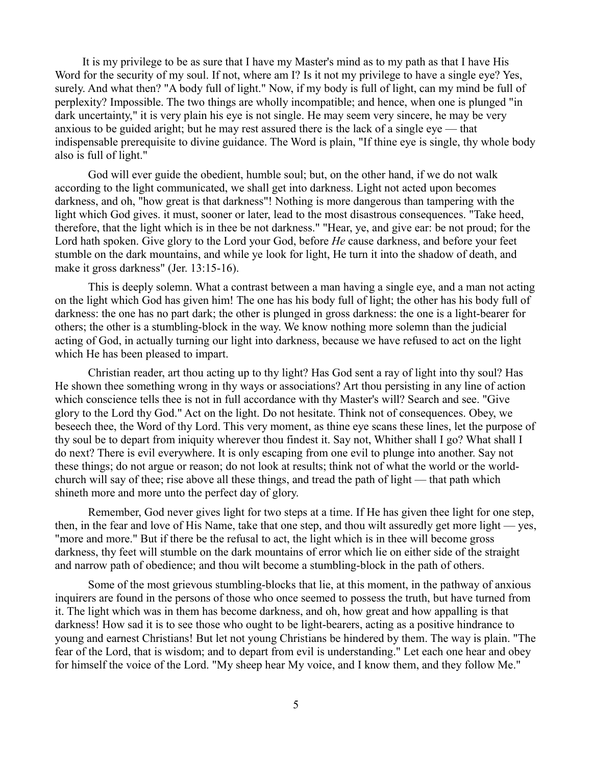It is my privilege to be as sure that I have my Master's mind as to my path as that I have His Word for the security of my soul. If not, where am I? Is it not my privilege to have a single eye? Yes, surely. And what then? "A body full of light." Now, if my body is full of light, can my mind be full of perplexity? Impossible. The two things are wholly incompatible; and hence, when one is plunged "in dark uncertainty," it is very plain his eye is not single. He may seem very sincere, he may be very anxious to be guided aright; but he may rest assured there is the lack of a single eye — that indispensable prerequisite to divine guidance. The Word is plain, "If thine eye is single, thy whole body also is full of light."

God will ever guide the obedient, humble soul; but, on the other hand, if we do not walk according to the light communicated, we shall get into darkness. Light not acted upon becomes darkness, and oh, "how great is that darkness"! Nothing is more dangerous than tampering with the light which God gives. it must, sooner or later, lead to the most disastrous consequences. "Take heed, therefore, that the light which is in thee be not darkness." "Hear, ye, and give ear: be not proud; for the Lord hath spoken. Give glory to the Lord your God, before *He* cause darkness, and before your feet stumble on the dark mountains, and while ye look for light, He turn it into the shadow of death, and make it gross darkness" (Jer. 13:15-16).

This is deeply solemn. What a contrast between a man having a single eye, and a man not acting on the light which God has given him! The one has his body full of light; the other has his body full of darkness: the one has no part dark; the other is plunged in gross darkness: the one is a light-bearer for others; the other is a stumbling-block in the way. We know nothing more solemn than the judicial acting of God, in actually turning our light into darkness, because we have refused to act on the light which He has been pleased to impart.

Christian reader, art thou acting up to thy light? Has God sent a ray of light into thy soul? Has He shown thee something wrong in thy ways or associations? Art thou persisting in any line of action which conscience tells thee is not in full accordance with thy Master's will? Search and see. "Give glory to the Lord thy God." Act on the light. Do not hesitate. Think not of consequences. Obey, we beseech thee, the Word of thy Lord. This very moment, as thine eye scans these lines, let the purpose of thy soul be to depart from iniquity wherever thou findest it. Say not, Whither shall I go? What shall I do next? There is evil everywhere. It is only escaping from one evil to plunge into another. Say not these things; do not argue or reason; do not look at results; think not of what the world or the worldchurch will say of thee; rise above all these things, and tread the path of light — that path which shineth more and more unto the perfect day of glory.

Remember, God never gives light for two steps at a time. If He has given thee light for one step, then, in the fear and love of His Name, take that one step, and thou wilt assuredly get more light — yes, "more and more." But if there be the refusal to act, the light which is in thee will become gross darkness, thy feet will stumble on the dark mountains of error which lie on either side of the straight and narrow path of obedience; and thou wilt become a stumbling-block in the path of others.

Some of the most grievous stumbling-blocks that lie, at this moment, in the pathway of anxious inquirers are found in the persons of those who once seemed to possess the truth, but have turned from it. The light which was in them has become darkness, and oh, how great and how appalling is that darkness! How sad it is to see those who ought to be light-bearers, acting as a positive hindrance to young and earnest Christians! But let not young Christians be hindered by them. The way is plain. "The fear of the Lord, that is wisdom; and to depart from evil is understanding." Let each one hear and obey for himself the voice of the Lord. "My sheep hear My voice, and I know them, and they follow Me."